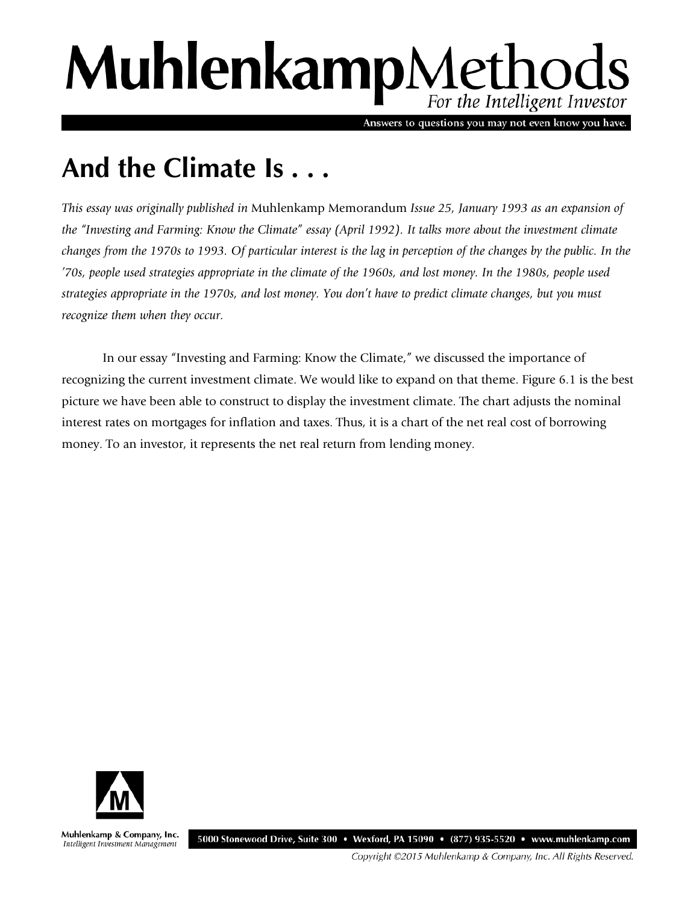# MuhlenkampMethods For the Intelligent Investor

Answers to questions you may not even know you have.

## **And the Climate Is . . .**

*This essay was originally published in* Muhlenkamp Memorandum *Issue 25, January 1993 as an expansion of the "Investing and Farming: Know the Climate" essay (April 1992). It talks more about the investment climate changes from the 1970s to 1993. Of particular interest is the lag in perception of the changes by the public. In the '70s, people used strategies appropriate in the climate of the 1960s, and lost money. In the 1980s, people used strategies appropriate in the 1970s, and lost money. You don't have to predict climate changes, but you must recognize them when they occur.* 

In our essay "Investing and Farming: Know the Climate," we discussed the importance of recognizing the current investment climate. We would like to expand on that theme. Figure 6.1 is the best picture we have been able to construct to display the investment climate. The chart adjusts the nominal interest rates on mortgages for inflation and taxes. Thus, it is a chart of the net real cost of borrowing money. To an investor, it represents the net real return from lending money.



Muhlenkamp & Company, Inc. Intelligent Investment Management

5000 Stonewood Drive, Suite 300 • Wexford, PA 15090 • (877) 935-5520 • www.muhlenkamp.com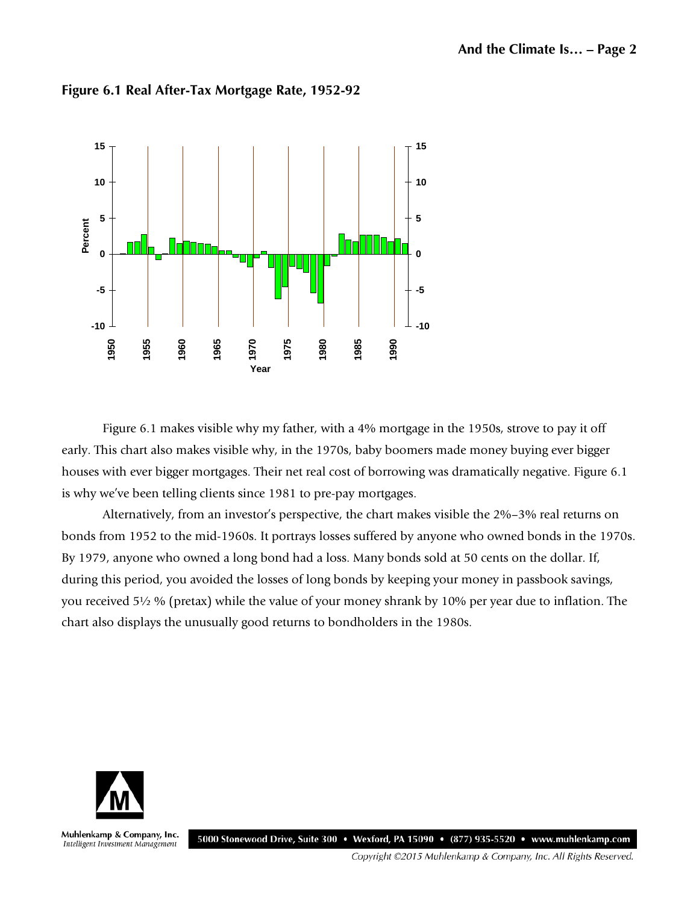

**Figure 6.1 Real After-Tax Mortgage Rate, 1952-92**

Figure 6.1 makes visible why my father, with a 4% mortgage in the 1950s, strove to pay it off early. This chart also makes visible why, in the 1970s, baby boomers made money buying ever bigger houses with ever bigger mortgages. Their net real cost of borrowing was dramatically negative. Figure 6.1 is why we've been telling clients since 1981 to pre-pay mortgages.

Alternatively, from an investor's perspective, the chart makes visible the 2%–3% real returns on bonds from 1952 to the mid-1960s. It portrays losses suffered by anyone who owned bonds in the 1970s. By 1979, anyone who owned a long bond had a loss. Many bonds sold at 50 cents on the dollar. If, during this period, you avoided the losses of long bonds by keeping your money in passbook savings, you received 5½ % (pretax) while the value of your money shrank by 10% per year due to inflation. The chart also displays the unusually good returns to bondholders in the 1980s.



Muhlenkamp & Company, Inc. Intelligent Investment Management

5000 Stonewood Drive, Suite 300 • Wexford, PA 15090 • (877) 935-5520 • www.muhlenkamp.com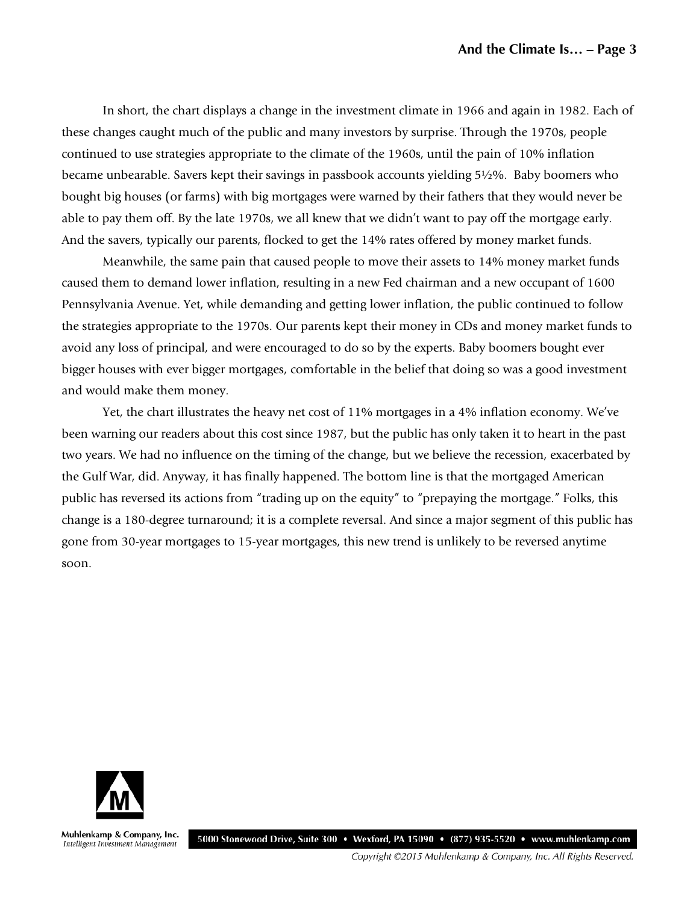In short, the chart displays a change in the investment climate in 1966 and again in 1982. Each of these changes caught much of the public and many investors by surprise. Through the 1970s, people continued to use strategies appropriate to the climate of the 1960s, until the pain of 10% inflation became unbearable. Savers kept their savings in passbook accounts yielding 5½%. Baby boomers who bought big houses (or farms) with big mortgages were warned by their fathers that they would never be able to pay them off. By the late 1970s, we all knew that we didn't want to pay off the mortgage early. And the savers, typically our parents, flocked to get the 14% rates offered by money market funds.

Meanwhile, the same pain that caused people to move their assets to 14% money market funds caused them to demand lower inflation, resulting in a new Fed chairman and a new occupant of 1600 Pennsylvania Avenue. Yet, while demanding and getting lower inflation, the public continued to follow the strategies appropriate to the 1970s. Our parents kept their money in CDs and money market funds to avoid any loss of principal, and were encouraged to do so by the experts. Baby boomers bought ever bigger houses with ever bigger mortgages, comfortable in the belief that doing so was a good investment and would make them money.

Yet, the chart illustrates the heavy net cost of 11% mortgages in a 4% inflation economy. We've been warning our readers about this cost since 1987, but the public has only taken it to heart in the past two years. We had no influence on the timing of the change, but we believe the recession, exacerbated by the Gulf War, did. Anyway, it has finally happened. The bottom line is that the mortgaged American public has reversed its actions from "trading up on the equity" to "prepaying the mortgage." Folks, this change is a 180-degree turnaround; it is a complete reversal. And since a major segment of this public has gone from 30-year mortgages to 15-year mortgages, this new trend is unlikely to be reversed anytime soon.



Muhlenkamp & Company, Inc. Intelligent Investment Management

5000 Stonewood Drive, Suite 300 · Wexford, PA 15090 · (877) 935-5520 · www.muhlenkamp.com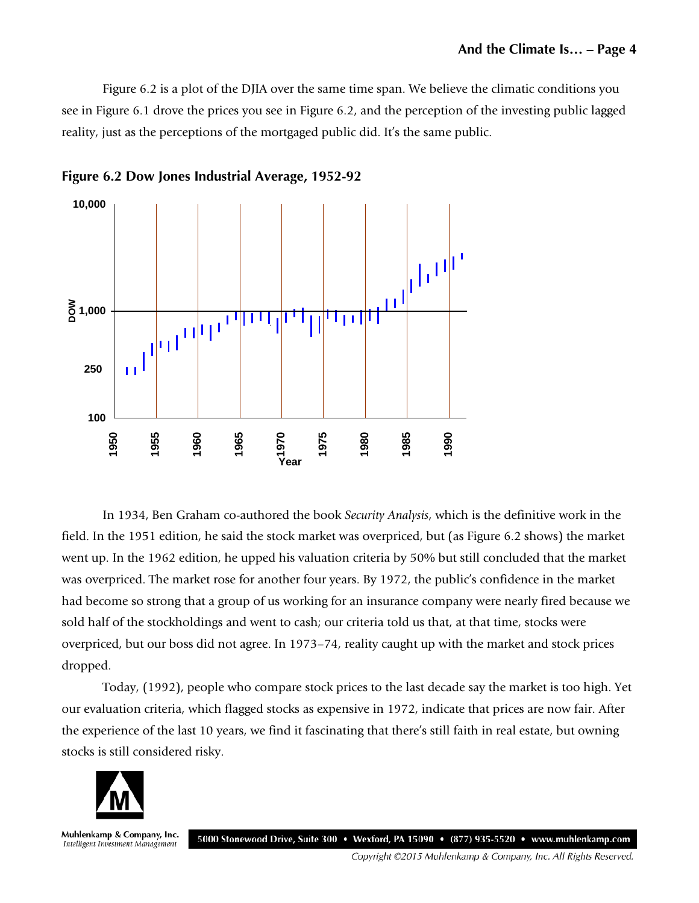Figure 6.2 is a plot of the DJIA over the same time span. We believe the climatic conditions you see in Figure 6.1 drove the prices you see in Figure 6.2, and the perception of the investing public lagged reality, just as the perceptions of the mortgaged public did. It's the same public.



**Figure 6.2 Dow Jones Industrial Average, 1952-92**

In 1934, Ben Graham co-authored the book *Security Analysis*, which is the definitive work in the field. In the 1951 edition, he said the stock market was overpriced, but (as Figure 6.2 shows) the market went up. In the 1962 edition, he upped his valuation criteria by 50% but still concluded that the market was overpriced. The market rose for another four years. By 1972, the public's confidence in the market had become so strong that a group of us working for an insurance company were nearly fired because we sold half of the stockholdings and went to cash; our criteria told us that, at that time, stocks were overpriced, but our boss did not agree. In 1973–74, reality caught up with the market and stock prices dropped.

Today, (1992), people who compare stock prices to the last decade say the market is too high. Yet our evaluation criteria, which flagged stocks as expensive in 1972, indicate that prices are now fair. After the experience of the last 10 years, we find it fascinating that there's still faith in real estate, but owning stocks is still considered risky.



Muhlenkamp & Company, Inc. 5000 Stonewood Drive, Suite 300 • Wexford, PA 15090 • (877) 935-5520 • www.muhlenkamp.com Intelligent Investment Management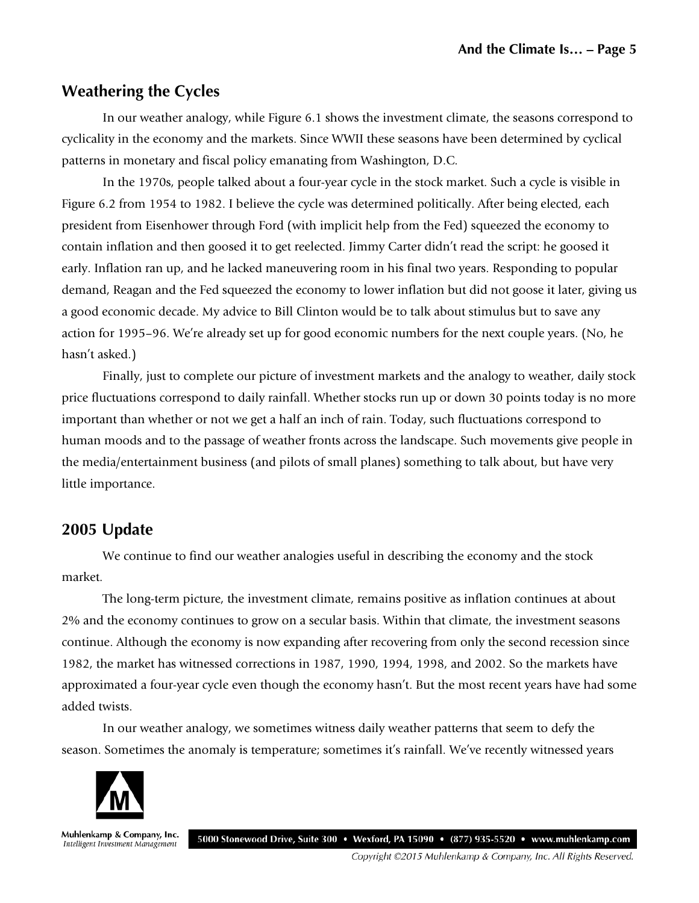#### **Weathering the Cycles**

In our weather analogy, while Figure 6.1 shows the investment climate, the seasons correspond to cyclicality in the economy and the markets. Since WWII these seasons have been determined by cyclical patterns in monetary and fiscal policy emanating from Washington, D.C.

In the 1970s, people talked about a four-year cycle in the stock market. Such a cycle is visible in Figure 6.2 from 1954 to 1982. I believe the cycle was determined politically. After being elected, each president from Eisenhower through Ford (with implicit help from the Fed) squeezed the economy to contain inflation and then goosed it to get reelected. Jimmy Carter didn't read the script: he goosed it early. Inflation ran up, and he lacked maneuvering room in his final two years. Responding to popular demand, Reagan and the Fed squeezed the economy to lower inflation but did not goose it later, giving us a good economic decade. My advice to Bill Clinton would be to talk about stimulus but to save any action for 1995–96. We're already set up for good economic numbers for the next couple years. (No, he hasn't asked.)

Finally, just to complete our picture of investment markets and the analogy to weather, daily stock price fluctuations correspond to daily rainfall. Whether stocks run up or down 30 points today is no more important than whether or not we get a half an inch of rain. Today, such fluctuations correspond to human moods and to the passage of weather fronts across the landscape. Such movements give people in the media/entertainment business (and pilots of small planes) something to talk about, but have very little importance.

#### **2005 Update**

We continue to find our weather analogies useful in describing the economy and the stock market.

The long-term picture, the investment climate, remains positive as inflation continues at about 2% and the economy continues to grow on a secular basis. Within that climate, the investment seasons continue. Although the economy is now expanding after recovering from only the second recession since 1982, the market has witnessed corrections in 1987, 1990, 1994, 1998, and 2002. So the markets have approximated a four-year cycle even though the economy hasn't. But the most recent years have had some added twists.

In our weather analogy, we sometimes witness daily weather patterns that seem to defy the season. Sometimes the anomaly is temperature; sometimes it's rainfall. We've recently witnessed years



Muhlenkamp & Company, Inc. 5000 Stonewood Drive, Suite 300 • Wexford, PA 15090 • (877) 935-5520 • www.muhlenkamp.com Intelligent Investment Management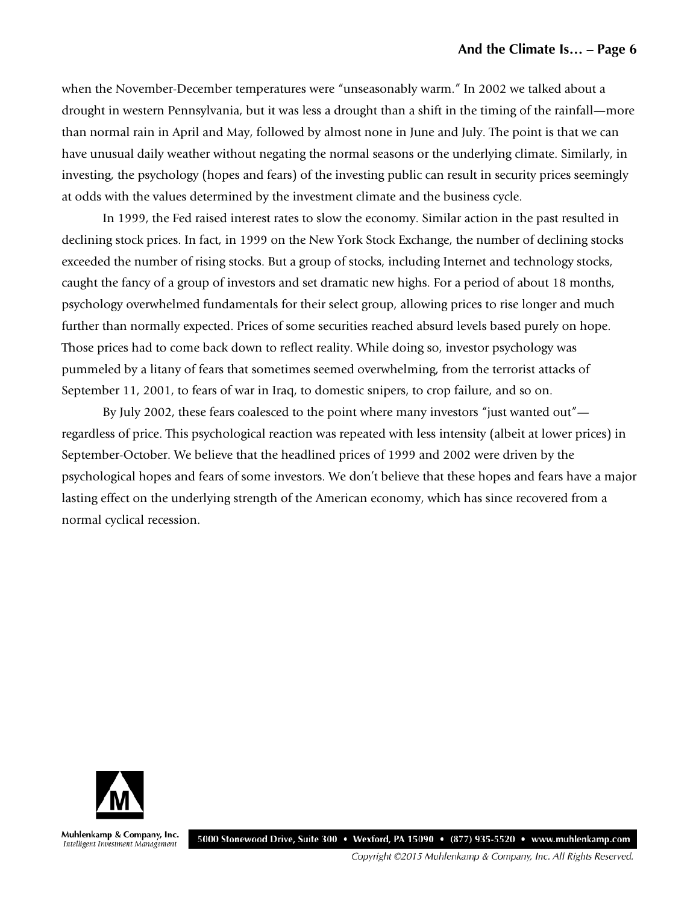when the November-December temperatures were "unseasonably warm." In 2002 we talked about a drought in western Pennsylvania, but it was less a drought than a shift in the timing of the rainfall—more than normal rain in April and May, followed by almost none in June and July. The point is that we can have unusual daily weather without negating the normal seasons or the underlying climate. Similarly, in investing, the psychology (hopes and fears) of the investing public can result in security prices seemingly at odds with the values determined by the investment climate and the business cycle.

In 1999, the Fed raised interest rates to slow the economy. Similar action in the past resulted in declining stock prices. In fact, in 1999 on the New York Stock Exchange, the number of declining stocks exceeded the number of rising stocks. But a group of stocks, including Internet and technology stocks, caught the fancy of a group of investors and set dramatic new highs. For a period of about 18 months, psychology overwhelmed fundamentals for their select group, allowing prices to rise longer and much further than normally expected. Prices of some securities reached absurd levels based purely on hope. Those prices had to come back down to reflect reality. While doing so, investor psychology was pummeled by a litany of fears that sometimes seemed overwhelming, from the terrorist attacks of September 11, 2001, to fears of war in Iraq, to domestic snipers, to crop failure, and so on.

By July 2002, these fears coalesced to the point where many investors "just wanted out" regardless of price. This psychological reaction was repeated with less intensity (albeit at lower prices) in September-October. We believe that the headlined prices of 1999 and 2002 were driven by the psychological hopes and fears of some investors. We don't believe that these hopes and fears have a major lasting effect on the underlying strength of the American economy, which has since recovered from a normal cyclical recession.



Muhlenkamp & Company, Inc. Intelligent Investment Management

5000 Stonewood Drive, Suite 300 · Wexford, PA 15090 · (877) 935-5520 · www.muhlenkamp.com